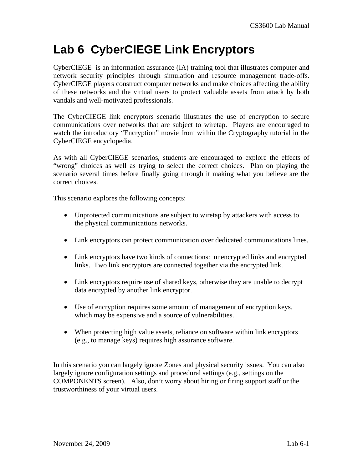# **Lab 6 CyberCIEGE Link Encryptors**

CyberCIEGE is an information assurance (IA) training tool that illustrates computer and network security principles through simulation and resource management trade-offs. CyberCIEGE players construct computer networks and make choices affecting the ability of these networks and the virtual users to protect valuable assets from attack by both vandals and well-motivated professionals.

The CyberCIEGE link encryptors scenario illustrates the use of encryption to secure communications over networks that are subject to wiretap. Players are encouraged to watch the introductory "Encryption" movie from within the Cryptography tutorial in the CyberCIEGE encyclopedia.

As with all CyberCIEGE scenarios, students are encouraged to explore the effects of "wrong" choices as well as trying to select the correct choices. Plan on playing the scenario several times before finally going through it making what you believe are the correct choices.

This scenario explores the following concepts:

- Unprotected communications are subject to wiretap by attackers with access to the physical communications networks.
- Link encryptors can protect communication over dedicated communications lines.
- Link encryptors have two kinds of connections: unencrypted links and encrypted links. Two link encryptors are connected together via the encrypted link.
- Link encryptors require use of shared keys, otherwise they are unable to decrypt data encrypted by another link encryptor.
- Use of encryption requires some amount of management of encryption keys, which may be expensive and a source of vulnerabilities.
- When protecting high value assets, reliance on software within link encryptors (e.g., to manage keys) requires high assurance software.

In this scenario you can largely ignore Zones and physical security issues. You can also largely ignore configuration settings and procedural settings (e.g., settings on the COMPONENTS screen). Also, don't worry about hiring or firing support staff or the trustworthiness of your virtual users.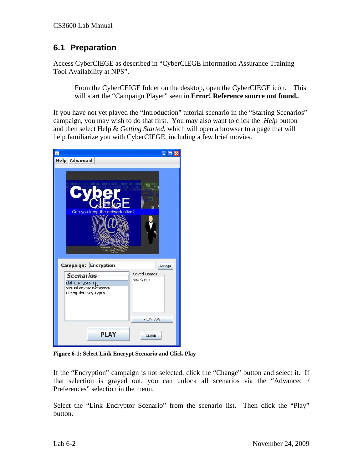## **6.1 Preparation**

Access CyberCIEGE as described in "CyberCIEGE Information Assurance Training Tool Availability at NPS".

From the CyberCEIGE folder on the desktop, open the CyberCIEGE icon. This will start the "Campaign Player" seen in **Error! Reference source not found.**.

If you have not yet played the "Introduction" tutorial scenario in the "Starting Scenarios" campaign, you may wish to do that first. You may also want to click the *Help* button and then select Help & *Getting Started*, which will open a browser to a page that will help familiarize you with CyberCIEGE, including a few brief movies.



**Figure 6-1: Select Link Encrypt Scenario and Click Play** 

If the "Encryption" campaign is not selected, click the "Change" button and select it. If that selection is grayed out, you can unlock all scenarios via the "Advanced / Preferences" selection in the menu.

Select the "Link Encryptor Scenario" from the scenario list. Then click the "Play" button.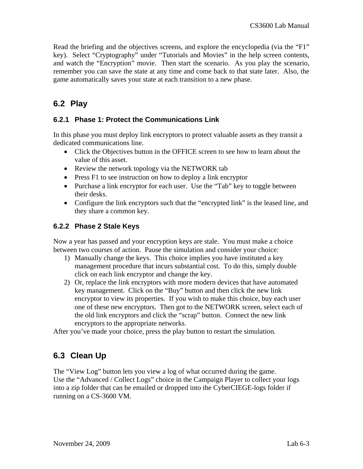Read the briefing and the objectives screens, and explore the encyclopedia (via the "F1" key). Select "Cryptography" under "Tutorials and Movies" in the help screen contents, and watch the "Encryption" movie. Then start the scenario. As you play the scenario, remember you can save the state at any time and come back to that state later. Also, the game automatically saves your state at each transition to a new phase.

# **6.2 Play**

#### **6.2.1 Phase 1: Protect the Communications Link**

In this phase you must deploy link encryptors to protect valuable assets as they transit a dedicated communications line.

- Click the Objectives button in the OFFICE screen to see how to learn about the value of this asset.
- Review the network topology via the NETWORK tab
- Press F1 to see instruction on how to deploy a link encryptor
- Purchase a link encryptor for each user. Use the "Tab" key to toggle between their desks.
- Configure the link encryptors such that the "encrypted link" is the leased line, and they share a common key.

#### **6.2.2 Phase 2 Stale Keys**

Now a year has passed and your encryption keys are stale. You must make a choice between two courses of action. Pause the simulation and consider your choice:

- 1) Manually change the keys. This choice implies you have instituted a key management procedure that incurs substantial cost. To do this, simply double click on each link encryptor and change the key.
- 2) Or, replace the link encryptors with more modern devices that have automated key management. Click on the "Buy" button and then click the new link encryptor to view its properties. If you wish to make this choice, buy each user one of these new encryptors. Then got to the NETWORK screen, select each of the old link encryptors and click the "scrap" button. Connect the new link encryptors to the appropriate networks.

After you've made your choice, press the play button to restart the simulation.

## **6.3 Clean Up**

The "View Log" button lets you view a log of what occurred during the game. Use the "Advanced / Collect Logs" choice in the Campaign Player to collect your logs into a zip folder that can be emailed or dropped into the CyberCIEGE-logs folder if running on a CS-3600 VM.